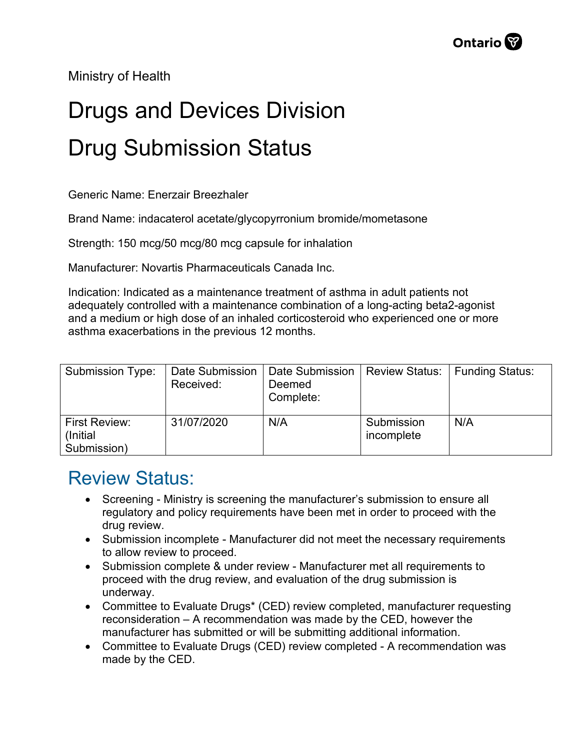Ministry of Health

## Drugs and Devices Division Drug Submission Status

Generic Name: Enerzair Breezhaler

Brand Name: indacaterol acetate/glycopyrronium bromide/mometasone

Strength: 150 mcg/50 mcg/80 mcg capsule for inhalation

Manufacturer: Novartis Pharmaceuticals Canada Inc.

Indication: Indicated as a maintenance treatment of asthma in adult patients not adequately controlled with a maintenance combination of a long-acting beta2-agonist and a medium or high dose of an inhaled corticosteroid who experienced one or more asthma exacerbations in the previous 12 months.

| <b>Submission Type:</b>                   | Date Submission<br>Received: | Date Submission<br>Deemed<br>Complete: | <b>Review Status:</b>    | Funding Status: |
|-------------------------------------------|------------------------------|----------------------------------------|--------------------------|-----------------|
| First Review:<br>(Initial)<br>Submission) | 31/07/2020                   | N/A                                    | Submission<br>incomplete | N/A             |

## Review Status:

- Screening Ministry is screening the manufacturer's submission to ensure all regulatory and policy requirements have been met in order to proceed with the drug review.
- Submission incomplete Manufacturer did not meet the necessary requirements to allow review to proceed.
- Submission complete & under review Manufacturer met all requirements to proceed with the drug review, and evaluation of the drug submission is underway.
- Committee to Evaluate Drugs\* (CED) review completed, manufacturer requesting reconsideration – A recommendation was made by the CED, however the manufacturer has submitted or will be submitting additional information.
- Committee to Evaluate Drugs (CED) review completed A recommendation was made by the CED.